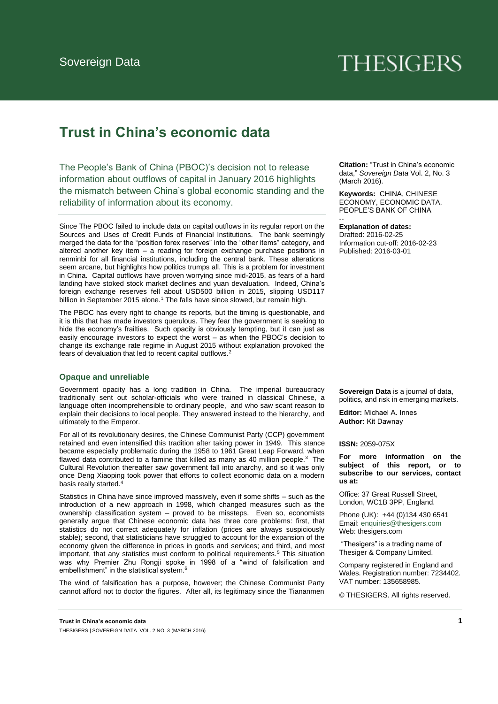# **THESIGERS**

# **Trust in China's economic data**

The People's Bank of China (PBOC)'s decision not to release information about outflows of capital in January 2016 highlights the mismatch between China's global economic standing and the reliability of information about its economy.

Since The PBOC failed to include data on capital outflows in its regular report on the Sources and Uses of Credit Funds of Financial Institutions. The bank seemingly merged the data for the "position forex reserves" into the "other items" category, and altered another key item – a reading for foreign exchange purchase positions in renminbi for all financial institutions, including the central bank. These alterations seem arcane, but highlights how politics trumps all. This is a problem for investment in China. Capital outflows have proven worrying since mid-2015, as fears of a hard landing have stoked stock market declines and yuan devaluation. Indeed, China's foreign exchange reserves fell about USD500 billion in 2015, slipping USD117 billion in September 2015 alone.<sup>1</sup> The falls have since slowed, but remain high.

The PBOC has every right to change its reports, but the timing is questionable, and it is this that has made investors querulous. They fear the government is seeking to hide the economy's frailties. Such opacity is obviously tempting, but it can just as easily encourage investors to expect the worst – as when the PBOC's decision to change its exchange rate regime in August 2015 without explanation provoked the fears of devaluation that led to recent capital outflows.<sup>2</sup>

# **Opaque and unreliable**

Government opacity has a long tradition in China. The imperial bureaucracy traditionally sent out scholar-officials who were trained in classical Chinese, a language often incomprehensible to ordinary people, and who saw scant reason to explain their decisions to local people. They answered instead to the hierarchy, and ultimately to the Emperor.

For all of its revolutionary desires, the Chinese Communist Party (CCP) government retained and even intensified this tradition after taking power in 1949. This stance became especially problematic during the 1958 to 1961 Great Leap Forward, when flawed data contributed to a famine that killed as many as 40 million people. $3$  The Cultural Revolution thereafter saw government fall into anarchy, and so it was only once Deng Xiaoping took power that efforts to collect economic data on a modern basis really started.

Statistics in China have since improved massively, even if some shifts – such as the introduction of a new approach in 1998, which changed measures such as the ownership classification system – proved to be missteps. Even so, economists generally argue that Chinese economic data has three core problems: first, that statistics do not correct adequately for inflation (prices are always suspiciously stable); second, that statisticians have struggled to account for the expansion of the economy given the difference in prices in goods and services; and third, and most important, that any statistics must conform to political requirements.<sup>5</sup> This situation was why Premier Zhu Rongji spoke in 1998 of a "wind of falsification and embellishment" in the statistical system.<sup>6</sup>

The wind of falsification has a purpose, however; the Chinese Communist Party cannot afford not to doctor the figures. After all, its legitimacy since the Tiananmen **Citation:** "Trust in China's economic data," *Sovereign Data* Vol. 2, No. 3 (March 2016).

**Keywords:** CHINA, CHINESE ECONOMY, ECONOMIC DATA, PEOPLE'S BANK OF CHINA

#### **Explanation of dates:**

--

Drafted: 2016-02-25 Information cut-off: 2016-02-23 Published: 2016-03-01

**Sovereign Data** is a journal of data, politics, and risk in emerging markets.

**Editor:** Michael A. Innes **Author:** Kit Dawnay

#### **ISSN:** 2059-075X

**For more information on the subject of this report, or to subscribe to our services, contact us at:** 

Office: 37 Great Russell Street, London, WC1B 3PP, England.

Phon[e \(UK\): +44 \(0\)134 430 654](mailto:enquiries@thesigers.com)1 Email: enquiries@thesigers.com Web: thesigers.com

"Thesigers" is a trading name of Thesiger & Company Limited.

Company registered in England and Wales. Registration number: 7234402. VAT number: 135658985.

© THESIGERS. All rights reserved.

**Trust in China's economic data 1** THESIGERS | SOVEREIGN DATA VOL. 2 NO. 3 (MARCH 2016)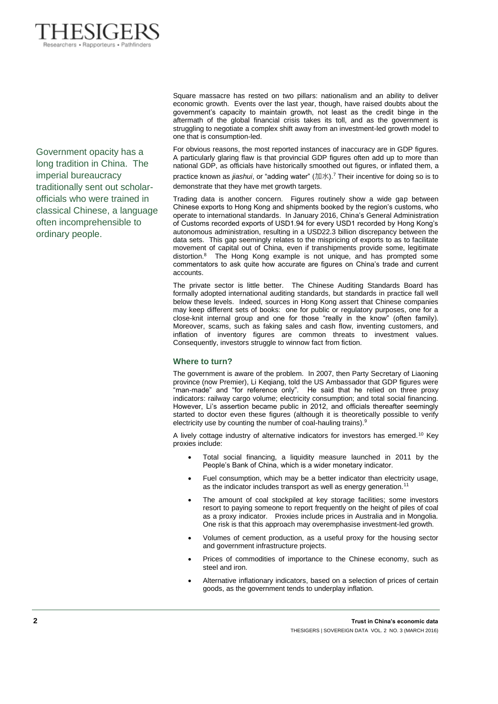

Government opacity has a long tradition in China. The imperial bureaucracy traditionally sent out scholarofficials who were trained in classical Chinese, a language often incomprehensible to ordinary people.

Square massacre has rested on two pillars: nationalism and an ability to deliver economic growth. Events over the last year, though, have raised doubts about the government's capacity to maintain growth, not least as the credit binge in the aftermath of the global financial crisis takes its toll, and as the government is struggling to negotiate a complex shift away from an investment-led growth model to one that is consumption-led.

For obvious reasons, the most reported instances of inaccuracy are in GDP figures. A particularly glaring flaw is that provincial GDP figures often add up to more than national GDP, as officials have historically smoothed out figures, or inflated them, a

practice known as *jiashui*, or "adding water" (加水). <sup>7</sup> Their incentive for doing so is to demonstrate that they have met growth targets.

Trading data is another concern. Figures routinely show a wide gap between Chinese exports to Hong Kong and shipments booked by the region's customs, who operate to international standards. In January 2016, China's General Administration of Customs recorded exports of USD1.94 for every USD1 recorded by Hong Kong's autonomous administration, resulting in a USD22.3 billion discrepancy between the data sets. This gap seemingly relates to the mispricing of exports to as to facilitate movement of capital out of China, even if transhipments provide some, legitimate distortion.<sup>8</sup> The Hong Kong example is not unique, and has prompted some commentators to ask quite how accurate are figures on China's trade and current accounts.

The private sector is little better. The Chinese Auditing Standards Board has formally adopted international auditing standards, but standards in practice fall well below these levels. Indeed, sources in Hong Kong assert that Chinese companies may keep different sets of books: one for public or regulatory purposes, one for a close-knit internal group and one for those "really in the know" (often family). Moreover, scams, such as faking sales and cash flow, inventing customers, and inflation of inventory figures are common threats to investment values. Consequently, investors struggle to winnow fact from fiction.

# **Where to turn?**

The government is aware of the problem. In 2007, then Party Secretary of Liaoning province (now Premier), Li Keqiang, told the US Ambassador that GDP figures were "man-made" and "for reference only". He said that he relied on three proxy indicators: railway cargo volume; electricity consumption; and total social financing. However, Li's assertion became public in 2012, and officials thereafter seemingly started to doctor even these figures (although it is theoretically possible to verify electricity use by counting the number of coal-hauling trains).<sup>9</sup>

A lively cottage industry of alternative indicators for investors has emerged.<sup>10</sup> Key proxies include:

- Total social financing, a liquidity measure launched in 2011 by the People's Bank of China, which is a wider monetary indicator.
- Fuel consumption, which may be a better indicator than electricity usage, as the indicator includes transport as well as energy generation.<sup>11</sup>
- The amount of coal stockpiled at key storage facilities; some investors resort to paying someone to report frequently on the height of piles of coal as a proxy indicator. Proxies include prices in Australia and in Mongolia. One risk is that this approach may overemphasise investment-led growth.
- Volumes of cement production, as a useful proxy for the housing sector and government infrastructure projects.
- Prices of commodities of importance to the Chinese economy, such as steel and iron.
- Alternative inflationary indicators, based on a selection of prices of certain goods, as the government tends to underplay inflation.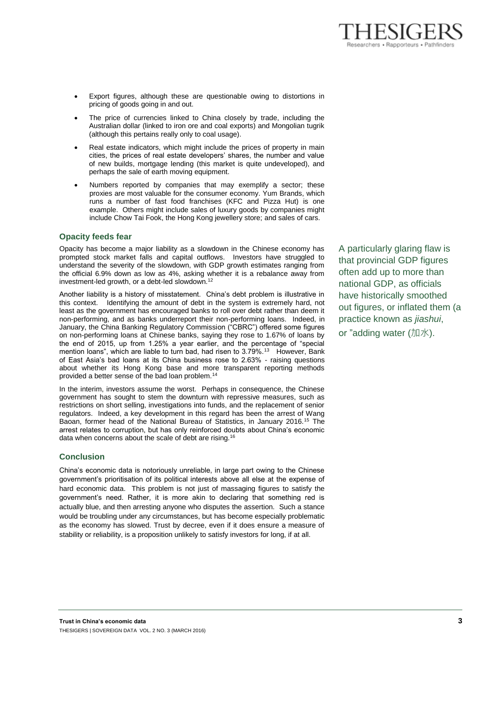- Export figures, although these are questionable owing to distortions in pricing of goods going in and out.
- The price of currencies linked to China closely by trade, including the Australian dollar (linked to iron ore and coal exports) and Mongolian tugrik (although this pertains really only to coal usage).
- Real estate indicators, which might include the prices of property in main cities, the prices of real estate developers' shares, the number and value of new builds, mortgage lending (this market is quite undeveloped), and perhaps the sale of earth moving equipment.
- Numbers reported by companies that may exemplify a sector; these proxies are most valuable for the consumer economy. Yum Brands, which runs a number of fast food franchises (KFC and Pizza Hut) is one example. Others might include sales of luxury goods by companies might include Chow Tai Fook, the Hong Kong jewellery store; and sales of cars.

# **Opacity feeds fear**

Opacity has become a major liability as a slowdown in the Chinese economy has prompted stock market falls and capital outflows. Investors have struggled to understand the severity of the slowdown, with GDP growth estimates ranging from the official 6.9% down as low as 4%, asking whether it is a rebalance away from investment-led growth, or a debt-led slowdown.<sup>12</sup>

Another liability is a history of misstatement. China's debt problem is illustrative in this context. Identifying the amount of debt in the system is extremely hard, not least as the government has encouraged banks to roll over debt rather than deem it non-performing, and as banks underreport their non-performing loans. Indeed, in January, the China Banking Regulatory Commission ("CBRC") offered some figures on non-performing loans at Chinese banks, saying they rose to 1.67% of loans by the end of 2015, up from 1.25% a year earlier, and the percentage of "special mention loans", which are liable to turn bad, had risen to 3.79%.<sup>13</sup> However, Bank of East Asia's bad loans at its China business rose to 2.63% - raising questions about whether its Hong Kong base and more transparent reporting methods provided a better sense of the bad loan problem.<sup>14</sup>

In the interim, investors assume the worst. Perhaps in consequence, the Chinese government has sought to stem the downturn with repressive measures, such as restrictions on short selling, investigations into funds, and the replacement of senior regulators. Indeed, a key development in this regard has been the arrest of Wang Baoan, former head of the National Bureau of Statistics, in January 2016.<sup>15</sup> The arrest relates to corruption, but has only reinforced doubts about China's economic data when concerns about the scale of debt are rising.<sup>16</sup>

# **Conclusion**

China's economic data is notoriously unreliable, in large part owing to the Chinese government's prioritisation of its political interests above all else at the expense of hard economic data. This problem is not just of massaging figures to satisfy the government's need. Rather, it is more akin to declaring that something red is actually blue, and then arresting anyone who disputes the assertion. Such a stance would be troubling under any circumstances, but has become especially problematic as the economy has slowed. Trust by decree, even if it does ensure a measure of stability or reliability, is a proposition unlikely to satisfy investors for long, if at all.

A particularly glaring flaw is that provincial GDP figures often add up to more than national GDP, as officials have historically smoothed out figures, or inflated them (a practice known as *jiashui*, or "adding water (加水).

sarchers . Rannorteurs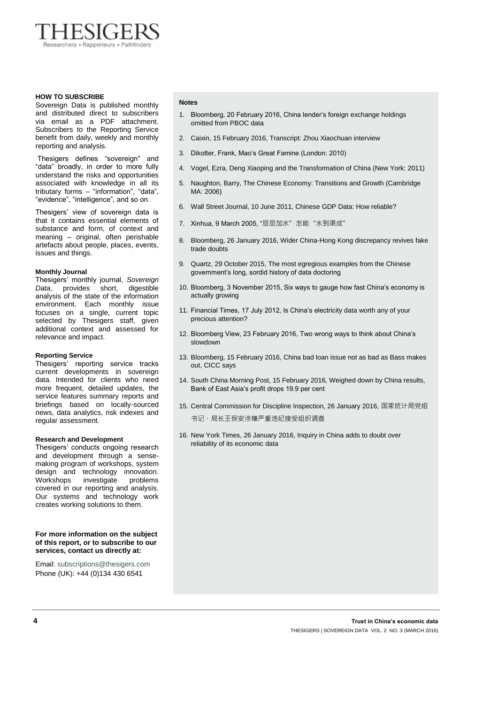

#### **HOW TO SUBSCRIBE**

Sovereign Data is published monthly and distributed direct to subscribers via email as a PDF attachment. Subscribers to the Reporting Service benefit from daily, weekly and monthly reporting and analysis.

Thesigers defines "sovereign" and "data" broadly, in order to more fully understand the risks and opportunities associated with knowledge in all its tributary forms – "information", "data", "evidence", "intelligence", and so on.

Thesigers' view of sovereign data is that it contains essential elements of substance and form, of context and meaning – original, often perishable artefacts about people, places, events, issues and things.

#### **Monthly Journal**

Thesigers' monthly journal, *Sovereign Data*, provides short, digestible analysis of the state of the information environment. Each monthly issue focuses on a single, current topic selected by Thesigers staff, given additional context and assessed for relevance and impact.

### **Reporting Service**

Thesigers' reporting service tracks current developments in sovereign data. Intended for clients who need more frequent, detailed updates, the service features summary reports and briefings based on locally-sourced news, data analytics, risk indexes and regular assessment.

#### **Research and Development**

Thesigers' conducts ongoing research and development through a sensemaking program of workshops, system design and technology innovation. Workshops investigate problems covered in our reporting and analysis. Our systems and technology work creates working solutions to them.

#### **For more information on the subject of this report, or to subscribe to our services, contact us directly at:**

Email[: subscriptions@thesigers.com](mailto:subscriptions@thesigers.com) Phone (UK): +44 (0)134 430 6541

#### **Notes**

- 1. Bloomberg, 20 February 2016, China lender's foreign exchange holdings omitted from PBOC data
- 2. Caixin, 15 February 2016, Transcript: Zhou Xiaochuan interview
- 3. Dikotter, Frank, Mao's Great Famine (London: 2010)
- 4. Vogel, Ezra, Deng Xiaoping and the Transformation of China (New York: 2011)
- 5. Naughton, Barry, The Chinese Economy: Transitions and Growth (Cambridge MA: 2006)
- 6. Wall Street Journal, 10 June 2011, Chinese GDP Data: How reliable?
- 7. Xinhua, 9 March 2005, "层层加水"怎能"水到渠成"
- 8. Bloomberg, 26 January 2016, Wider China-Hong Kong discrepancy revives fake trade doubts
- 9. Quartz, 29 October 2015, The most egregious examples from the Chinese government's long, sordid history of data doctoring
- 10. Bloomberg, 3 November 2015, Six ways to gauge how fast China's economy is actually growing
- 11. Financial Times, 17 July 2012, Is China's electricity data worth any of your precious attention?
- 12. Bloomberg View, 23 February 2016, Two wrong ways to think about China's slowdown
- 13. Bloomberg, 15 February 2016, China bad loan issue not as bad as Bass makes out, CICC says
- 14. South China Morning Post, 15 February 2016, Weighed down by China results, Bank of East Asia's profit drops 19.9 per cent
- 15. Central Commission for Discipline Inspection, 26 January 2016, 国家统计局党组 书记、局长王保安涉嫌严重违纪接受组织调查
- 16. New York Times, 26 January 2016, Inquiry in China adds to doubt over reliability of its economic data